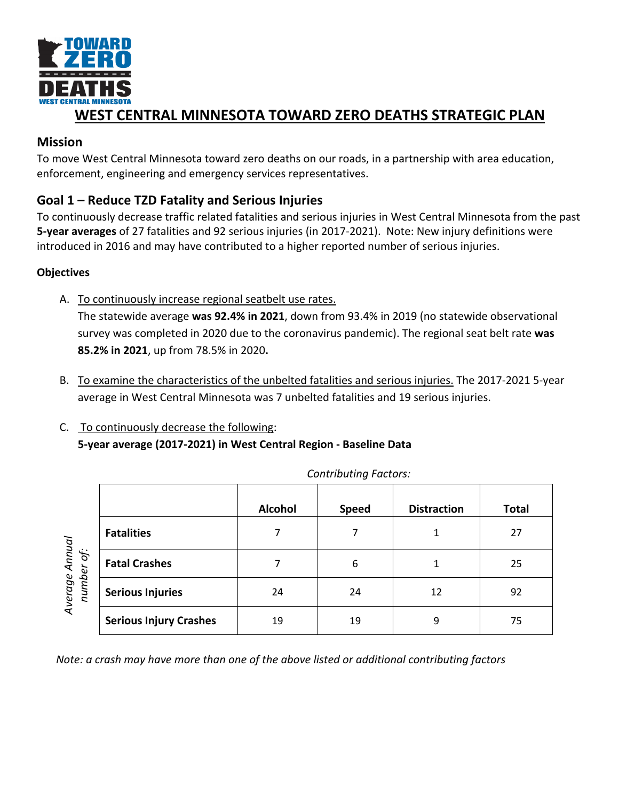

# **WEST CENTRAL MINNESOTA TOWARD ZERO DEATHS STRATEGIC PLAN**

### **Mission**

To move West Central Minnesota toward zero deaths on our roads, in a partnership with area education, enforcement, engineering and emergency services representatives.

## **Goal 1 – Reduce TZD Fatality and Serious Injuries**

To continuously decrease traffic related fatalities and serious injuries in West Central Minnesota from the past **5-year averages** of 27 fatalities and 92 serious injuries (in 2017-2021). Note: New injury definitions were introduced in 2016 and may have contributed to a higher reported number of serious injuries.

### **Objectives**

A. To continuously increase regional seatbelt use rates.

The statewide average **was 92.4% in 2021**, down from 93.4% in 2019 (no statewide observational survey was completed in 2020 due to the coronavirus pandemic). The regional seat belt rate **was 85.2% in 2021**, up from 78.5% in 2020**.**

- B. To examine the characteristics of the unbelted fatalities and serious injuries. The 2017-2021 5-year average in West Central Minnesota was 7 unbelted fatalities and 19 serious injuries.
- C. To continuously decrease the following: **5-year average (2017-2021) in West Central Region - Baseline Data**

|                              |                               | <b>Alcohol</b> | <b>Speed</b> | <b>Distraction</b> | <b>Total</b> |
|------------------------------|-------------------------------|----------------|--------------|--------------------|--------------|
| Average Annual<br>number of: | <b>Fatalities</b>             |                |              |                    | 27           |
|                              | <b>Fatal Crashes</b>          | 7              | 6            |                    | 25           |
|                              | <b>Serious Injuries</b>       | 24             | 24           | 12                 | 92           |
|                              | <b>Serious Injury Crashes</b> | 19             | 19           | 9                  | 75           |

*Contributing Factors:*

*Note: a crash may have more than one of the above listed or additional contributing factors*